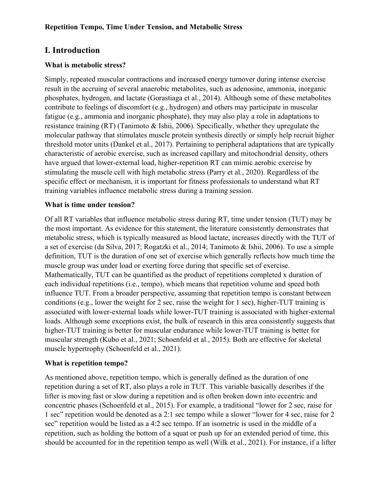# **I. Introduction**

## **What is metabolic stress?**

Simply, repeated muscular contractions and increased energy turnover during intense exercise result in the accruing of several anaerobic metabolites, such as adenosine, ammonia, inorganic phosphates, hydrogen, and lactate (Gorastiaga et al., 2014). Although some of these metabolites contribute to feelings of discomfort (e.g., hydrogen) and others may participate in muscular fatigue (e.g., ammonia and inorganic phosphate), they may also play a role in adaptations to resistance training (RT) (Tanimoto & Ishii, 2006). Specifically, whether they upregulate the molecular pathway that stimulates muscle protein synthesis directly or simply help recruit higher threshold motor units (Dankel et al., 2017). Pertaining to peripheral adaptations that are typically characteristic of aerobic exercise, such as increased capillary and mitochondrial density, others have argued that lower-external load, higher-repetition RT can mimic aerobic exercise by stimulating the muscle cell with high metabolic stress (Parry et al., 2020). Regardless of the specific effect or mechanism, it is important for fitness professionals to understand what RT training variables influence metabolic stress during a training session.

## **What is time under tension?**

Of all RT variables that influence metabolic stress during RT, time under tension (TUT) may be the most important. As evidence for this statement, the literature consistently demonstrates that metabolic stress, which is typically measured as blood lactate, increases directly with the TUT of a set of exercise (da Silva, 2017; Rogatzki et al., 2014; Tanimoto & Ishii, 2006). To use a simple definition, TUT is the duration of one set of exercise which generally reflects how much time the muscle group was under load or exerting force during that specific set of exercise. Mathematically, TUT can be quantified as the product of repetitions completed x duration of each individual repetitions (i.e., tempo), which means that repetition volume and speed both influence TUT. From a broader perspective, assuming that repetition tempo is constant between conditions (e.g., lower the weight for 2 sec, raise the weight for 1 sec), higher-TUT training is associated with lower-external loads while lower-TUT training is associated with higher-external loads. Although some exceptions exist, the bulk of research in this area consistently suggests that higher-TUT training is better for muscular endurance while lower-TUT training is better for muscular strength (Kubo et al., 2021; Schoenfeld et al., 2015). Both are effective for skeletal muscle hypertrophy (Schoenfeld et al., 2021).

### **What is repetition tempo?**

As mentioned above, repetition tempo, which is generally defined as the duration of one repetition during a set of RT, also plays a role in TUT. This variable basically describes if the lifter is moving fast or slow during a repetition and is often broken down into eccentric and concentric phases (Schoenfeld et al., 2015). For example, a traditional "lower for 2 sec, raise for 1 sec" repetition would be denoted as a 2:1 sec tempo while a slower "lower for 4 sec, raise for 2 sec" repetition would be listed as a 4:2 sec tempo. If an isometric is used in the middle of a repetition, such as holding the bottom of a squat or push up for an extended period of time, this should be accounted for in the repetition tempo as well (Wilk et al., 2021). For instance, if a lifter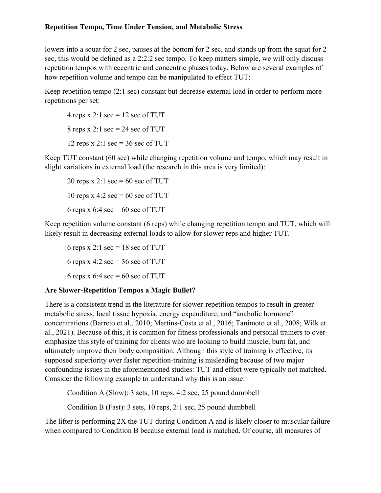lowers into a squat for 2 sec, pauses at the bottom for 2 sec, and stands up from the squat for 2 sec, this would be defined as a 2:2:2 sec tempo. To keep matters simple, we will only discuss repetition tempos with eccentric and concentric phases today. Below are several examples of how repetition volume and tempo can be manipulated to effect TUT:

Keep repetition tempo (2:1 sec) constant but decrease external load in order to perform more repetitions per set:

4 reps x 2:1 sec = 12 sec of TUT 8 reps x 2:1 sec = 24 sec of TUT 12 reps x 2:1 sec =  $36$  sec of TUT

Keep TUT constant (60 sec) while changing repetition volume and tempo, which may result in slight variations in external load (the research in this area is very limited):

20 reps x 2:1 sec =  $60$  sec of TUT 10 reps x 4:2 sec = 60 sec of TUT 6 reps x 6:4 sec = 60 sec of TUT

Keep repetition volume constant (6 reps) while changing repetition tempo and TUT, which will likely result in decreasing external loads to allow for slower reps and higher TUT.

6 reps x 2:1 sec =  $18$  sec of TUT 6 reps x 4:2 sec =  $36$  sec of TUT 6 reps x 6:4 sec = 60 sec of TUT

## **Are Slower-Repetition Tempos a Magic Bullet?**

There is a consistent trend in the literature for slower-repetition tempos to result in greater metabolic stress, local tissue hypoxia, energy expenditure, and "anabolic hormone" concentrations (Barreto et al., 2010; Martins-Costa et al., 2016; Tanimoto et al., 2008; Wilk et al., 2021). Because of this, it is common for fitness professionals and personal trainers to overemphasize this style of training for clients who are looking to build muscle, burn fat, and ultimately improve their body composition. Although this style of training is effective, its supposed superiority over faster repetition-training is misleading because of two major confounding issues in the aforementioned studies: TUT and effort were typically not matched. Consider the following example to understand why this is an issue:

Condition A (Slow): 3 sets, 10 reps, 4:2 sec, 25 pound dumbbell

Condition B (Fast): 3 sets, 10 reps, 2:1 sec, 25 pound dumbbell

The lifter is performing 2X the TUT during Condition A and is likely closer to muscular failure when compared to Condition B because external load is matched. Of course, all measures of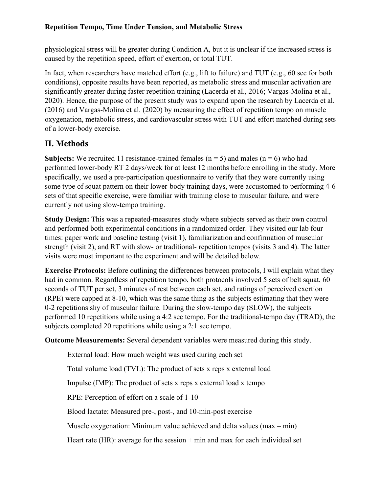physiological stress will be greater during Condition A, but it is unclear if the increased stress is caused by the repetition speed, effort of exertion, or total TUT.

In fact, when researchers have matched effort (e.g., lift to failure) and TUT (e.g., 60 sec for both conditions), opposite results have been reported, as metabolic stress and muscular activation are significantly greater during faster repetition training (Lacerda et al., 2016; Vargas-Molina et al., 2020). Hence, the purpose of the present study was to expand upon the research by Lacerda et al. (2016) and Vargas-Molina et al. (2020) by measuring the effect of repetition tempo on muscle oxygenation, metabolic stress, and cardiovascular stress with TUT and effort matched during sets of a lower-body exercise.

# **II. Methods**

**Subjects:** We recruited 11 resistance-trained females ( $n = 5$ ) and males ( $n = 6$ ) who had performed lower-body RT 2 days/week for at least 12 months before enrolling in the study. More specifically, we used a pre-participation questionnaire to verify that they were currently using some type of squat pattern on their lower-body training days, were accustomed to performing 4-6 sets of that specific exercise, were familiar with training close to muscular failure, and were currently not using slow-tempo training.

**Study Design:** This was a repeated-measures study where subjects served as their own control and performed both experimental conditions in a randomized order. They visited our lab four times: paper work and baseline testing (visit 1), familiarization and confirmation of muscular strength (visit 2), and RT with slow- or traditional- repetition tempos (visits 3 and 4). The latter visits were most important to the experiment and will be detailed below.

**Exercise Protocols:** Before outlining the differences between protocols, I will explain what they had in common. Regardless of repetition tempo, both protocols involved 5 sets of belt squat, 60 seconds of TUT per set, 3 minutes of rest between each set, and ratings of perceived exertion (RPE) were capped at 8-10, which was the same thing as the subjects estimating that they were 0-2 repetitions shy of muscular failure. During the slow-tempo day (SLOW), the subjects performed 10 repetitions while using a 4:2 sec tempo. For the traditional-tempo day (TRAD), the subjects completed 20 repetitions while using a 2:1 sec tempo.

**Outcome Measurements:** Several dependent variables were measured during this study.

External load: How much weight was used during each set

Total volume load (TVL): The product of sets x reps x external load

Impulse (IMP): The product of sets x reps x external load x tempo

RPE: Perception of effort on a scale of 1-10

Blood lactate: Measured pre-, post-, and 10-min-post exercise

Muscle oxygenation: Minimum value achieved and delta values (max – min)

Heart rate (HR): average for the session  $+$  min and max for each individual set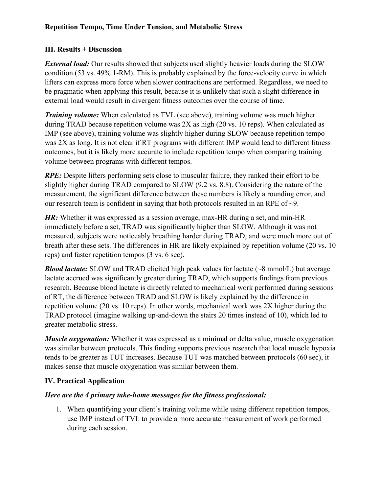## **III. Results + Discussion**

*External load:* Our results showed that subjects used slightly heavier loads during the SLOW condition (53 vs. 49% 1-RM). This is probably explained by the force-velocity curve in which lifters can express more force when slower contractions are performed. Regardless, we need to be pragmatic when applying this result, because it is unlikely that such a slight difference in external load would result in divergent fitness outcomes over the course of time.

*Training volume:* When calculated as TVL (see above), training volume was much higher during TRAD because repetition volume was 2X as high (20 vs. 10 reps). When calculated as IMP (see above), training volume was slightly higher during SLOW because repetition tempo was 2X as long. It is not clear if RT programs with different IMP would lead to different fitness outcomes, but it is likely more accurate to include repetition tempo when comparing training volume between programs with different tempos.

*RPE:* Despite lifters performing sets close to muscular failure, they ranked their effort to be slightly higher during TRAD compared to SLOW (9.2 vs. 8.8). Considering the nature of the measurement, the significant difference between these numbers is likely a rounding error, and our research team is confident in saying that both protocols resulted in an RPE of ~9.

*HR:* Whether it was expressed as a session average, max-HR during a set, and min-HR immediately before a set, TRAD was significantly higher than SLOW. Although it was not measured, subjects were noticeably breathing harder during TRAD, and were much more out of breath after these sets. The differences in HR are likely explained by repetition volume (20 vs. 10 reps) and faster repetition tempos (3 vs. 6 sec).

*Blood lactate:* SLOW and TRAD elicited high peak values for lactate (~8 mmol/L) but average lactate accrued was significantly greater during TRAD, which supports findings from previous research. Because blood lactate is directly related to mechanical work performed during sessions of RT, the difference between TRAD and SLOW is likely explained by the difference in repetition volume (20 vs. 10 reps). In other words, mechanical work was 2X higher during the TRAD protocol (imagine walking up-and-down the stairs 20 times instead of 10), which led to greater metabolic stress.

*Muscle oxygenation:* Whether it was expressed as a minimal or delta value, muscle oxygenation was similar between protocols. This finding supports previous research that local muscle hypoxia tends to be greater as TUT increases. Because TUT was matched between protocols (60 sec), it makes sense that muscle oxygenation was similar between them.

## **IV. Practical Application**

### *Here are the 4 primary take-home messages for the fitness professional:*

1. When quantifying your client's training volume while using different repetition tempos, use IMP instead of TVL to provide a more accurate measurement of work performed during each session.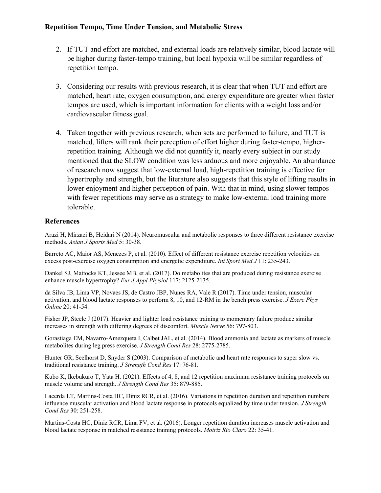- 2. If TUT and effort are matched, and external loads are relatively similar, blood lactate will be higher during faster-tempo training, but local hypoxia will be similar regardless of repetition tempo.
- 3. Considering our results with previous research, it is clear that when TUT and effort are matched, heart rate, oxygen consumption, and energy expenditure are greater when faster tempos are used, which is important information for clients with a weight loss and/or cardiovascular fitness goal.
- 4. Taken together with previous research, when sets are performed to failure, and TUT is matched, lifters will rank their perception of effort higher during faster-tempo, higherrepetition training. Although we did not quantify it, nearly every subject in our study mentioned that the SLOW condition was less arduous and more enjoyable. An abundance of research now suggest that low-external load, high-repetition training is effective for hypertrophy and strength, but the literature also suggests that this style of lifting results in lower enjoyment and higher perception of pain. With that in mind, using slower tempos with fewer repetitions may serve as a strategy to make low-external load training more tolerable.

### **References**

Arazi H, Mirzaei B, Heidari N (2014). Neuromuscular and metabolic responses to three different resistance exercise methods. *Asian J Sports Med* 5: 30-38.

Barreto AC, Maior AS, Menezes P, et al. (2010). Effect of different resistance exercise repetition velocities on excess post-exercise oxygen consumption and energetic expenditure. *Int Sport Med J* 11: 235-243.

Dankel SJ, Mattocks KT, Jessee MB, et al. (2017). Do metabolites that are produced during resistance exercise enhance muscle hypertrophy? *Eur J Appl Physiol* 117: 2125-2135.

da Silva JB, Lima VP, Novaes JS, de Castro JBP, Nunes RA, Vale R (2017). Time under tension, muscular activation, and blood lactate responses to perform 8, 10, and 12-RM in the bench press exercise. *J Exerc Phys Online* 20: 41-54.

Fisher JP, Steele J (2017). Heavier and lighter load resistance training to momentary failure produce similar increases in strength with differing degrees of discomfort. *Muscle Nerve* 56: 797-803.

Gorastiaga EM, Navarro-Amezqueta I, Calbet JAL, et al. (2014). Blood ammonia and lactate as markers of muscle metabolites during leg press exercise. *J Strength Cond Res* 28: 2775-2785.

Hunter GR, Seelhorst D, Snyder S (2003). Comparison of metabolic and heart rate responses to super slow vs. traditional resistance training. *J Strength Cond Res* 17: 76-81.

Kubo K, Ikebukuro T, Yata H. (2021). Effects of 4, 8, and 12 repetition maximum resistance training protocols on muscle volume and strength. *J Strength Cond Res* 35: 879-885.

Lacerda LT, Martins-Costa HC, Diniz RCR, et al. (2016). Variations in repetition duration and repetition numbers influence muscular activation and blood lactate response in protocols equalized by time under tension. *J Strength Cond Res* 30: 251-258.

Martins-Costa HC, Diniz RCR, Lima FV, et al. (2016). Longer repetition duration increases muscle activation and blood lactate response in matched resistance training protocols. *Motriz Rio Claro* 22: 35-41.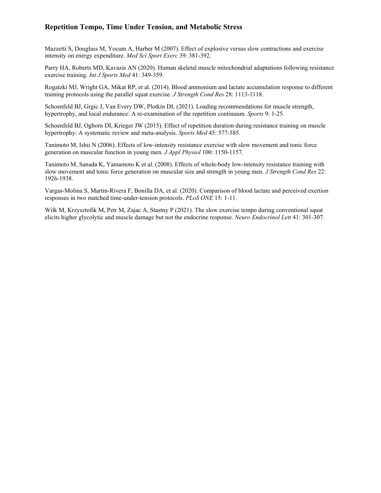Mazzetti S, Douglass M, Yocum A, Harber M (2007). Effect of explosive versus slow contractions and exercise intensity on energy expenditure. *Med Sci Sport Exerc* 39: 381-392.

Parry HA, Roberts MD, Kavazis AN (2020). Human skeletal muscle mitochondrial adaptations following resistance exercise training. *Int J Sports Med* 41: 349-359.

Rogatzki MJ, Wright GA, Mikat RP, et al. (2014). Blood ammonium and lactate accumulation response to different training protocols using the parallel squat exercise. *J Strength Cond Res* 28: 1113-1118.

Schoenfeld BJ, Grgic J, Van Every DW, Plotkin DL (2021). Loading recommendations for muscle strength, hypertrophy, and local endurance: A re-examination of the repetition continuum. *Sports* 9: 1-25.

Schoenfeld BJ, Ogborn DI, Krieger JW (2015). Effect of repetition duration during resistance training on muscle hypertrophy: A systematic review and meta-analysis. *Sports Med* 45: 577-585.

Tanimoto M, Ishii N (2006). Effects of low-intensity resistance exercise with slow movement and tonic force generation on muscular function in young men. *J Appl Physiol* 100: 1150-1157.

Tanimoto M, Sanada K, Yamamoto K et al. (2008). Effects of whole-body low-intensity resistance training with slow movement and tonic force generation on muscular size and strength in young men. *J Strength Cond Res* 22: 1926-1938.

Vargas-Molina S, Martin-Rivera F, Bonilla DA, et al. (2020). Comparison of blood lactate and perceived exertion responses in two matched time-under-tension protocols. *PLoS ONE* 15: 1-11.

Wilk M, Krzysztofik M, Petr M, Zajac A, Stastny P (2021). The slow exercise tempo during conventional squat elicits higher glycolytic and muscle damage but not the endocrine response. *Neuro Endocrinol Lett* 41: 301-307.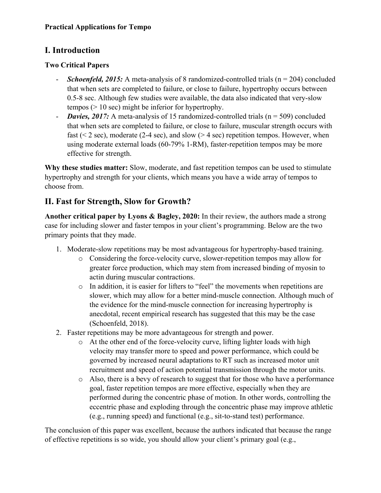# **I. Introduction**

## **Two Critical Papers**

- *Schoenfeld, 2015:* A meta-analysis of 8 randomized-controlled trials (n = 204) concluded that when sets are completed to failure, or close to failure, hypertrophy occurs between 0.5-8 sec. Although few studies were available, the data also indicated that very-slow tempos (> 10 sec) might be inferior for hypertrophy.
- *Davies, 2017:* A meta-analysis of 15 randomized-controlled trials (n = 509) concluded that when sets are completed to failure, or close to failure, muscular strength occurs with fast ( $\leq$  2 sec), moderate (2-4 sec), and slow ( $>$  4 sec) repetition tempos. However, when using moderate external loads (60-79% 1-RM), faster-repetition tempos may be more effective for strength.

**Why these studies matter:** Slow, moderate, and fast repetition tempos can be used to stimulate hypertrophy and strength for your clients, which means you have a wide array of tempos to choose from.

# **II. Fast for Strength, Slow for Growth?**

**Another critical paper by Lyons & Bagley, 2020:** In their review, the authors made a strong case for including slower and faster tempos in your client's programming. Below are the two primary points that they made.

- 1. Moderate-slow repetitions may be most advantageous for hypertrophy-based training.
	- o Considering the force-velocity curve, slower-repetition tempos may allow for greater force production, which may stem from increased binding of myosin to actin during muscular contractions.
	- o In addition, it is easier for lifters to "feel" the movements when repetitions are slower, which may allow for a better mind-muscle connection. Although much of the evidence for the mind-muscle connection for increasing hypertrophy is anecdotal, recent empirical research has suggested that this may be the case (Schoenfeld, 2018).
- 2. Faster repetitions may be more advantageous for strength and power.
	- o At the other end of the force-velocity curve, lifting lighter loads with high velocity may transfer more to speed and power performance, which could be governed by increased neural adaptations to RT such as increased motor unit recruitment and speed of action potential transmission through the motor units.
	- o Also, there is a bevy of research to suggest that for those who have a performance goal, faster repetition tempos are more effective, especially when they are performed during the concentric phase of motion. In other words, controlling the eccentric phase and exploding through the concentric phase may improve athletic (e.g., running speed) and functional (e.g., sit-to-stand test) performance.

The conclusion of this paper was excellent, because the authors indicated that because the range of effective repetitions is so wide, you should allow your client's primary goal (e.g.,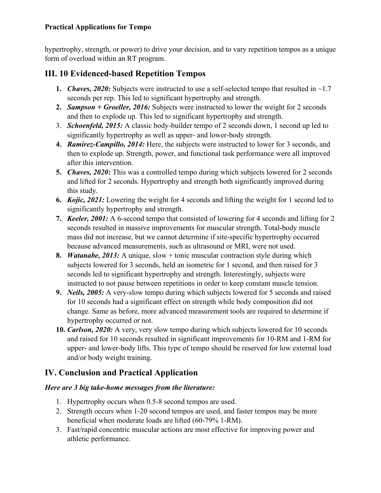## **Practical Applications for Tempo**

hypertrophy, strength, or power) to drive your decision, and to vary repetition tempos as a unique form of overload within an RT program.

# **III. 10 Evidenced-based Repetition Tempos**

- **1.** *Chaves, 2020:* Subjects were instructed to use a self-selected tempo that resulted in ~1.7 seconds per rep. This led to significant hypertrophy and strength.
- **2.** *Sampson + Groeller, 2016:* Subjects were instructed to lower the weight for 2 seconds and then to explode up. This led to significant hypertrophy and strength.
- 3. *Schoenfeld, 2015:* A classic body-builder tempo of 2 seconds down, 1 second up led to significantly hypertrophy as well as upper- and lower-body strength.
- **4.** *Ramirez-Campillo, 2014:* Here, the subjects were instructed to lower for 3 seconds, and then to explode up. Strength, power, and functional task performance were all improved after this intervention.
- **5.** *Chaves, 2020:* This was a controlled tempo during which subjects lowered for 2 seconds and lifted for 2 seconds. Hypertrophy and strength both significantly improved during this study.
- **6.** *Kojic, 2021:* Lowering the weight for 4 seconds and lifting the weight for 1 second led to significantly hypertrophy and strength.
- **7.** *Keeler, 2001:* A 6-second tempo that consisted of lowering for 4 seconds and lifting for 2 seconds resulted in massive improvements for muscular strength. Total-body muscle mass did not increase, but we cannot determine if site-specific hypertrophy occurred because advanced measurements, such as ultrasound or MRI, were not used.
- **8.** *Watanabe, 2013:* A unique, slow + tonic muscular contraction style during which subjects lowered for 3 seconds, held an isometric for 1 second, and then raised for 3 seconds led to significant hypertrophy and strength. Interestingly, subjects were instructed to not pause between repetitions in order to keep constant muscle tension.
- **9.** *Neils, 2005:* A very-slow tempo during which subjects lowered for 5 seconds and raised for 10 seconds had a significant effect on strength while body composition did not change. Same as before, more advanced measurement tools are required to determine if hypertrophy occurred or not.
- **10.** *Carlson, 2020:* A very, very slow tempo during which subjects lowered for 10 seconds and raised for 10 seconds resulted in significant improvements for 10-RM and 1-RM for upper- and lower-body lifts. This type of tempo should be reserved for low external load and/or body weight training.

# **IV. Conclusion and Practical Application**

## *Here are 3 big take-home messages from the literature:*

- 1. Hypertrophy occurs when 0.5-8 second tempos are used.
- 2. Strength occurs when 1-20 second tempos are used, and faster tempos may be more beneficial when moderate loads are lifted (60-79% 1-RM).
- 3. Fast/rapid concentric muscular actions are most effective for improving power and athletic performance.